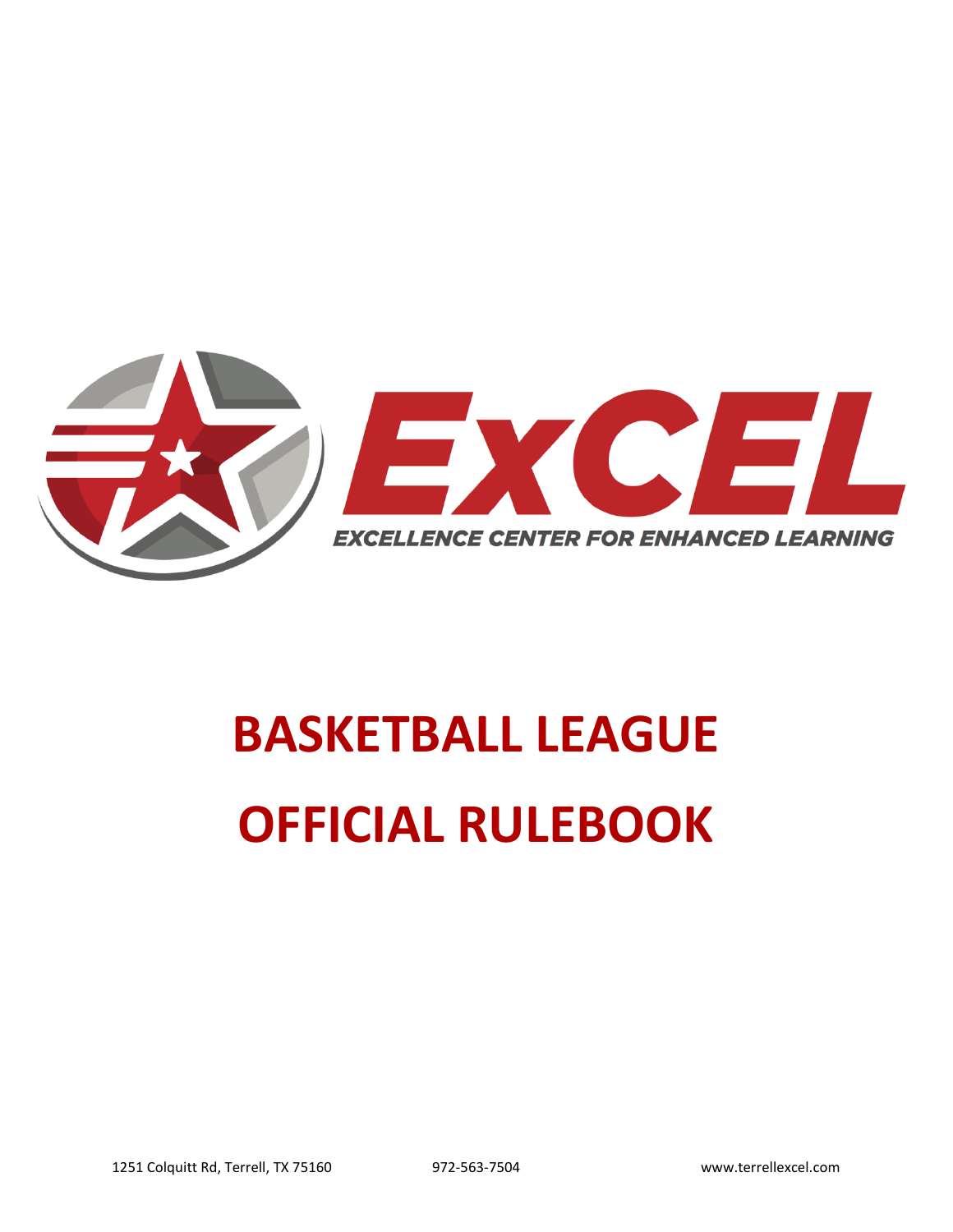

# **BASKETBALL LEAGUE OFFICIAL RULEBOOK**

1251 Colquitt Rd, Terrell, TX 75160 972-563-7504 www.terrellexcel.com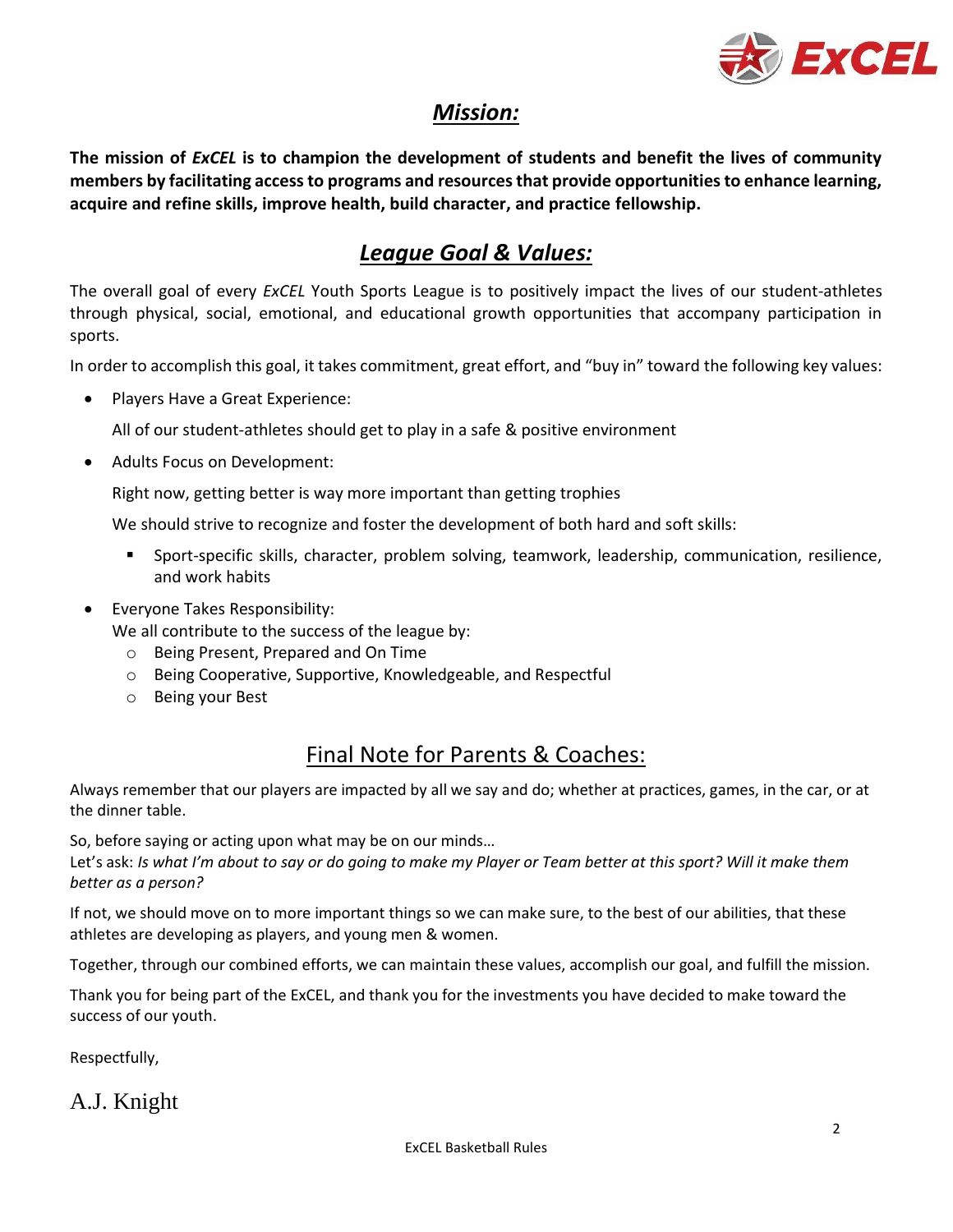

# *Mission:*

**The mission of** *ExCEL* **is to champion the development of students and benefit the lives of community members by facilitating access to programs and resources that provide opportunities to enhance learning, acquire and refine skills, improve health, build character, and practice fellowship.**

# *League Goal & Values:*

The overall goal of every *ExCEL* Youth Sports League is to positively impact the lives of our student-athletes through physical, social, emotional, and educational growth opportunities that accompany participation in sports.

In order to accomplish this goal, it takes commitment, great effort, and "buy in" toward the following key values:

• Players Have a Great Experience:

All of our student-athletes should get to play in a safe & positive environment

• Adults Focus on Development:

Right now, getting better is way more important than getting trophies

We should strive to recognize and foster the development of both hard and soft skills:

- Sport-specific skills, character, problem solving, teamwork, leadership, communication, resilience, and work habits
- Everyone Takes Responsibility:

We all contribute to the success of the league by:

- o Being Present, Prepared and On Time
- o Being Cooperative, Supportive, Knowledgeable, and Respectful
- o Being your Best

# Final Note for Parents & Coaches:

Always remember that our players are impacted by all we say and do; whether at practices, games, in the car, or at the dinner table.

So, before saying or acting upon what may be on our minds…

Let's ask: *Is what I'm about to say or do going to make my Player or Team better at this sport? Will it make them better as a person?*

If not, we should move on to more important things so we can make sure, to the best of our abilities, that these athletes are developing as players, and young men & women.

Together, through our combined efforts, we can maintain these values, accomplish our goal, and fulfill the mission.

Thank you for being part of the ExCEL, and thank you for the investments you have decided to make toward the success of our youth.

Respectfully,

A.J. Knight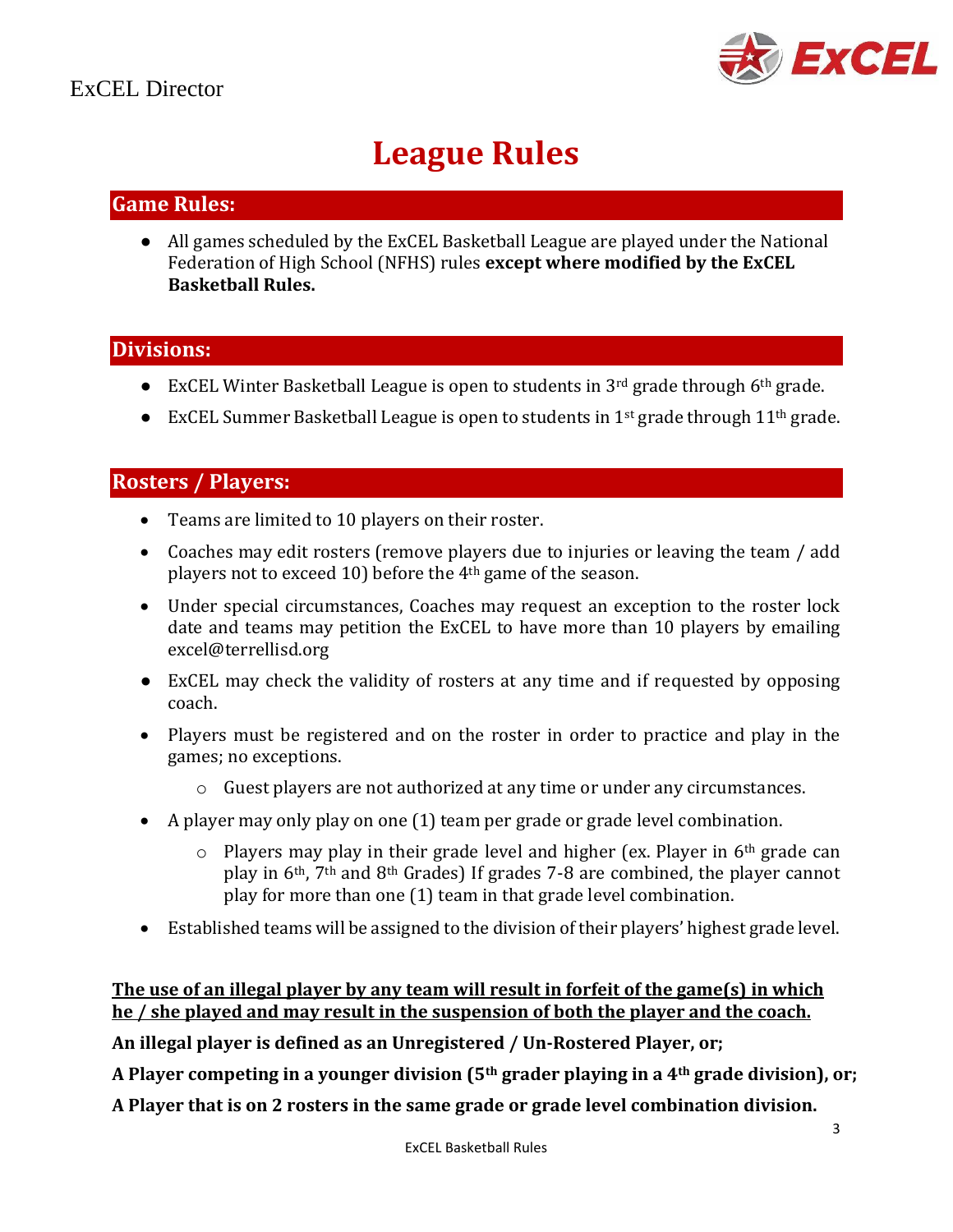

# **League Rules**

### **Game Rules:**

● All games scheduled by the ExCEL Basketball League are played under the National Federation of High School (NFHS) rules **except where modified by the ExCEL Basketball Rules.**

# **Divisions:**

- ExCEL Winter Basketball League is open to students in  $3<sup>rd</sup>$  grade through 6<sup>th</sup> grade.
- ExCEL Summer Basketball League is open to students in  $1<sup>st</sup>$  grade through  $11<sup>th</sup>$  grade.

# **Rosters / Players:**

- Teams are limited to 10 players on their roster.
- Coaches may edit rosters (remove players due to injuries or leaving the team / add players not to exceed 10) before the 4th game of the season.
- Under special circumstances, Coaches may request an exception to the roster lock date and teams may petition the ExCEL to have more than 10 players by emailing excel@terrellisd.org
- ExCEL may check the validity of rosters at any time and if requested by opposing coach.
- Players must be registered and on the roster in order to practice and play in the games; no exceptions.
	- $\circ$  Guest players are not authorized at any time or under any circumstances.
- A player may only play on one (1) team per grade or grade level combination.
	- $\circ$  Players may play in their grade level and higher (ex. Player in 6<sup>th</sup> grade can play in 6th, 7th and 8th Grades) If grades 7-8 are combined, the player cannot play for more than one (1) team in that grade level combination.
- Established teams will be assigned to the division of their players' highest grade level.

#### **The use of an illegal player by any team will result in forfeit of the game(s) in which he / she played and may result in the suspension of both the player and the coach.**

**An illegal player is defined as an Unregistered / Un-Rostered Player, or;**

**A Player competing in a younger division (5th grader playing in a 4th grade division), or;** 

**A Player that is on 2 rosters in the same grade or grade level combination division.**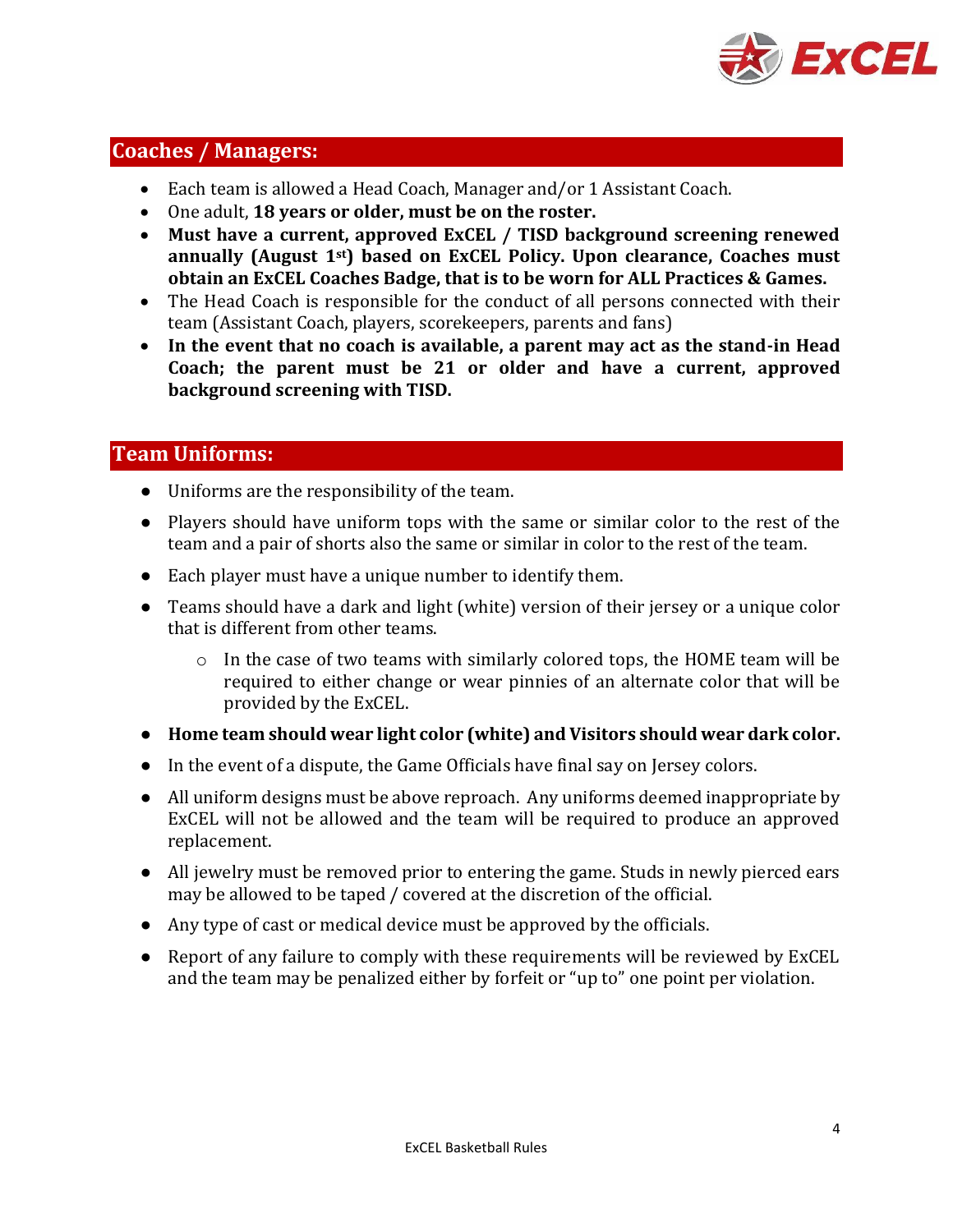

# **Coaches / Managers:**

- Each team is allowed a Head Coach, Manager and/or 1 Assistant Coach.
- One adult, **18 years or older, must be on the roster.**
- **Must have a current, approved ExCEL / TISD background screening renewed annually (August 1st) based on ExCEL Policy. Upon clearance, Coaches must obtain an ExCEL Coaches Badge, that is to be worn for ALL Practices & Games.**
- The Head Coach is responsible for the conduct of all persons connected with their team (Assistant Coach, players, scorekeepers, parents and fans)
- **In the event that no coach is available, a parent may act as the stand-in Head Coach; the parent must be 21 or older and have a current, approved background screening with TISD.**

# **Team Uniforms:**

- Uniforms are the responsibility of the team.
- Players should have uniform tops with the same or similar color to the rest of the team and a pair of shorts also the same or similar in color to the rest of the team.
- Each player must have a unique number to identify them.
- Teams should have a dark and light (white) version of their jersey or a unique color that is different from other teams.
	- o In the case of two teams with similarly colored tops, the HOME team will be required to either change or wear pinnies of an alternate color that will be provided by the ExCEL.
- **Home team should wear light color (white) and Visitors should wear dark color.**
- In the event of a dispute, the Game Officials have final say on Jersey colors.
- All uniform designs must be above reproach. Any uniforms deemed inappropriate by ExCEL will not be allowed and the team will be required to produce an approved replacement.
- All jewelry must be removed prior to entering the game. Studs in newly pierced ears may be allowed to be taped / covered at the discretion of the official.
- Any type of cast or medical device must be approved by the officials.
- Report of any failure to comply with these requirements will be reviewed by ExCEL and the team may be penalized either by forfeit or "up to" one point per violation.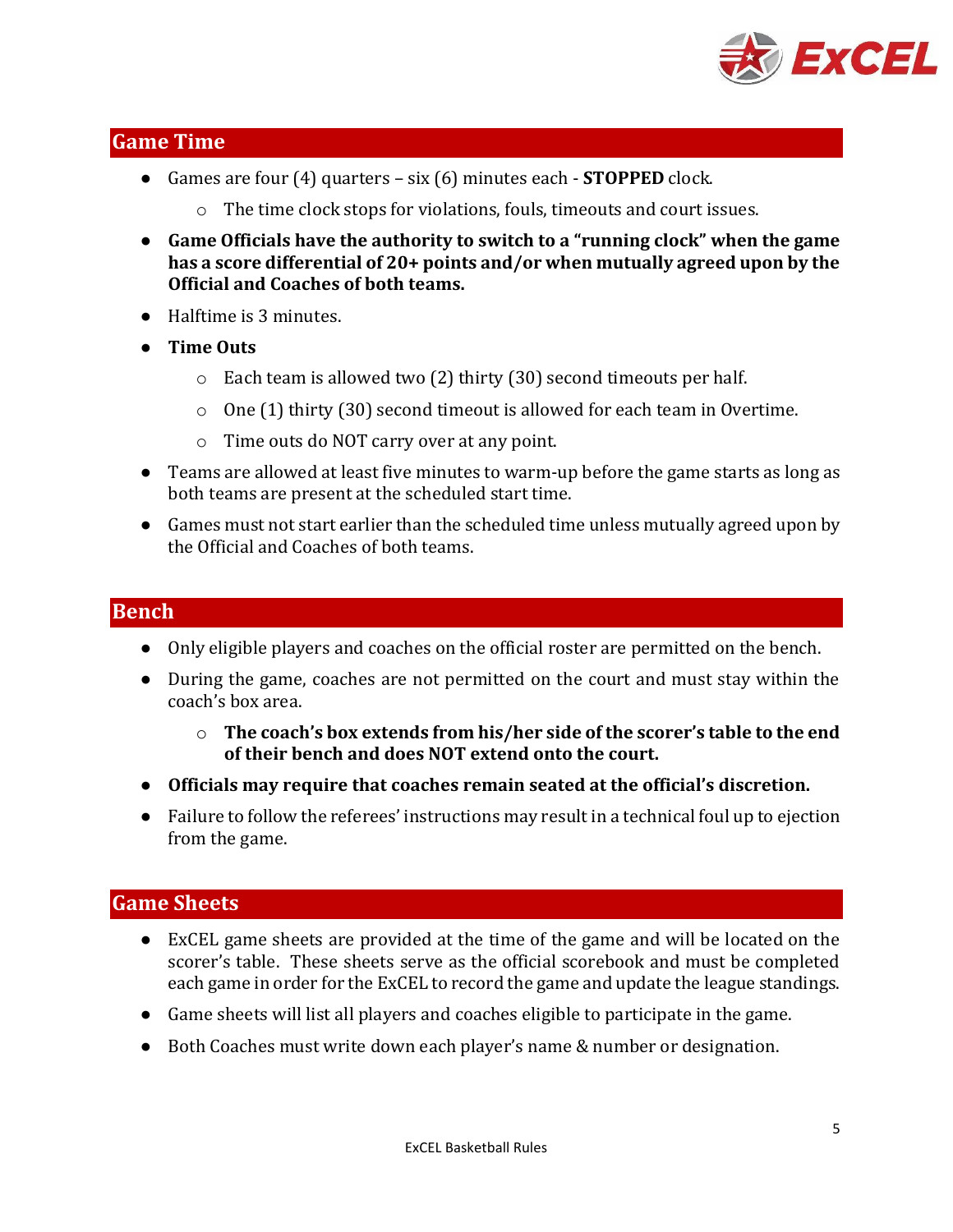

# **Game Time**

- Games are four (4) quarters six (6) minutes each **STOPPED** clock.
	- o The time clock stops for violations, fouls, timeouts and court issues.
- **Game Officials have the authority to switch to a "running clock" when the game has a score differential of 20+ points and/or when mutually agreed upon by the Official and Coaches of both teams.**
- Halftime is 3 minutes.
- **Time Outs**
	- $\circ$  Each team is allowed two (2) thirty (30) second timeouts per half.
	- o One (1) thirty (30) second timeout is allowed for each team in Overtime.
	- o Time outs do NOT carry over at any point.
- Teams are allowed at least five minutes to warm-up before the game starts as long as both teams are present at the scheduled start time.
- Games must not start earlier than the scheduled time unless mutually agreed upon by the Official and Coaches of both teams.

#### **Bench**

- Only eligible players and coaches on the official roster are permitted on the bench.
- During the game, coaches are not permitted on the court and must stay within the coach's box area.
	- o **The coach's box extends from his/her side of the scorer's table to the end of their bench and does NOT extend onto the court.**
- **Officials may require that coaches remain seated at the official's discretion.**
- Failure to follow the referees' instructions may result in a technical foul up to ejection from the game.

#### **Game Sheets**

- ExCEL game sheets are provided at the time of the game and will be located on the scorer's table. These sheets serve as the official scorebook and must be completed each game in order for the ExCEL to record the game and update the league standings.
- Game sheets will list all players and coaches eligible to participate in the game.
- Both Coaches must write down each player's name & number or designation.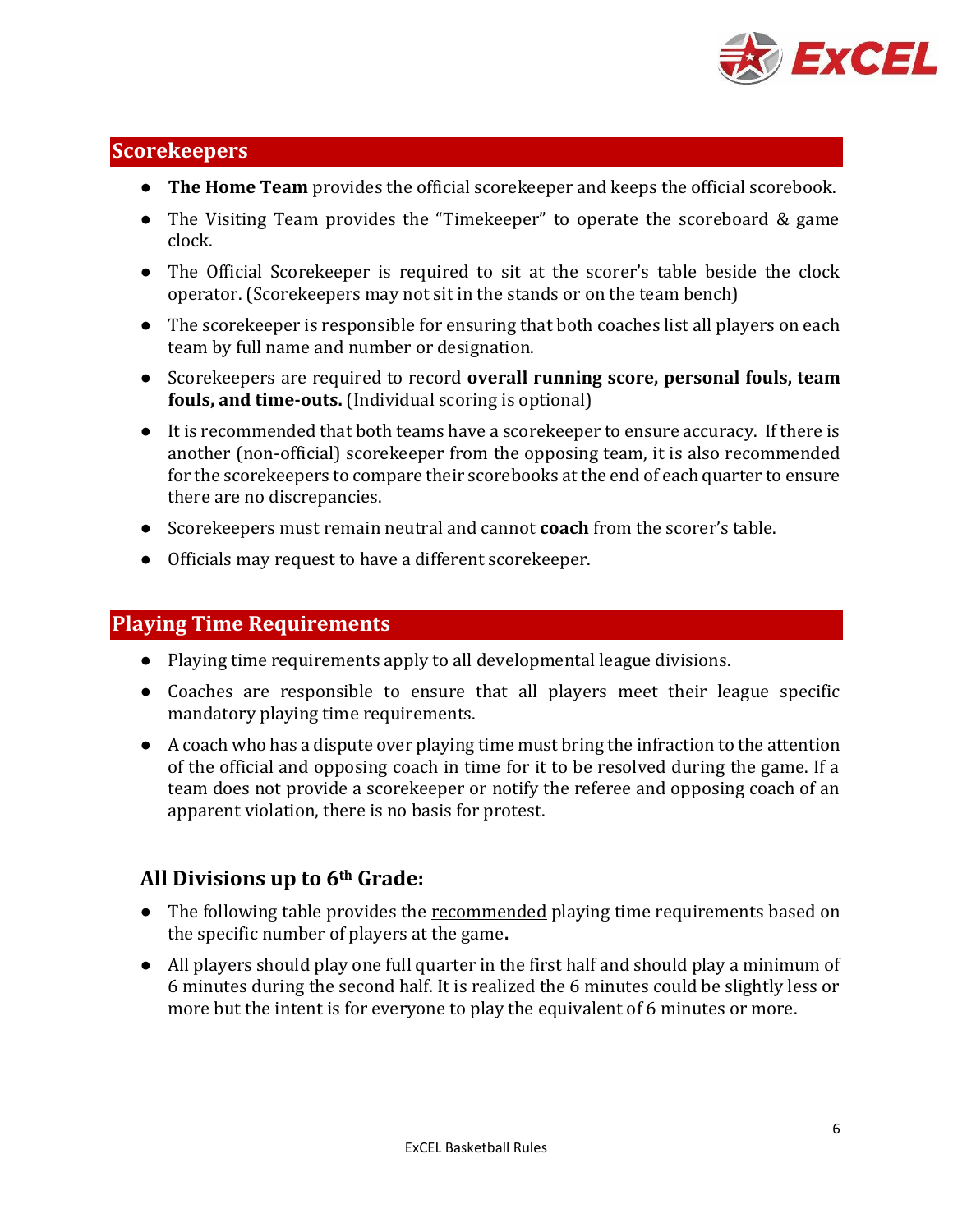

#### **Scorekeepers**

- **The Home Team** provides the official scorekeeper and keeps the official scorebook.
- The Visiting Team provides the "Timekeeper" to operate the scoreboard & game clock.
- The Official Scorekeeper is required to sit at the scorer's table beside the clock operator. (Scorekeepers may not sit in the stands or on the team bench)
- The scorekeeper is responsible for ensuring that both coaches list all players on each team by full name and number or designation.
- Scorekeepers are required to record **overall running score, personal fouls, team fouls, and time-outs.** (Individual scoring is optional)
- It is recommended that both teams have a scorekeeper to ensure accuracy. If there is another (non-official) scorekeeper from the opposing team, it is also recommended for the scorekeepers to compare their scorebooks at the end of each quarter to ensure there are no discrepancies.
- Scorekeepers must remain neutral and cannot **coach** from the scorer's table.
- Officials may request to have a different scorekeeper.

#### **Playing Time Requirements**

- Playing time requirements apply to all developmental league divisions.
- Coaches are responsible to ensure that all players meet their league specific mandatory playing time requirements.
- A coach who has a dispute over playing time must bring the infraction to the attention of the official and opposing coach in time for it to be resolved during the game. If a team does not provide a scorekeeper or notify the referee and opposing coach of an apparent violation, there is no basis for protest.

#### **All Divisions up to 6th Grade:**

- The following table provides the recommended playing time requirements based on the specific number of players at the game**.**
- All players should play one full quarter in the first half and should play a minimum of 6 minutes during the second half. It is realized the 6 minutes could be slightly less or more but the intent is for everyone to play the equivalent of 6 minutes or more.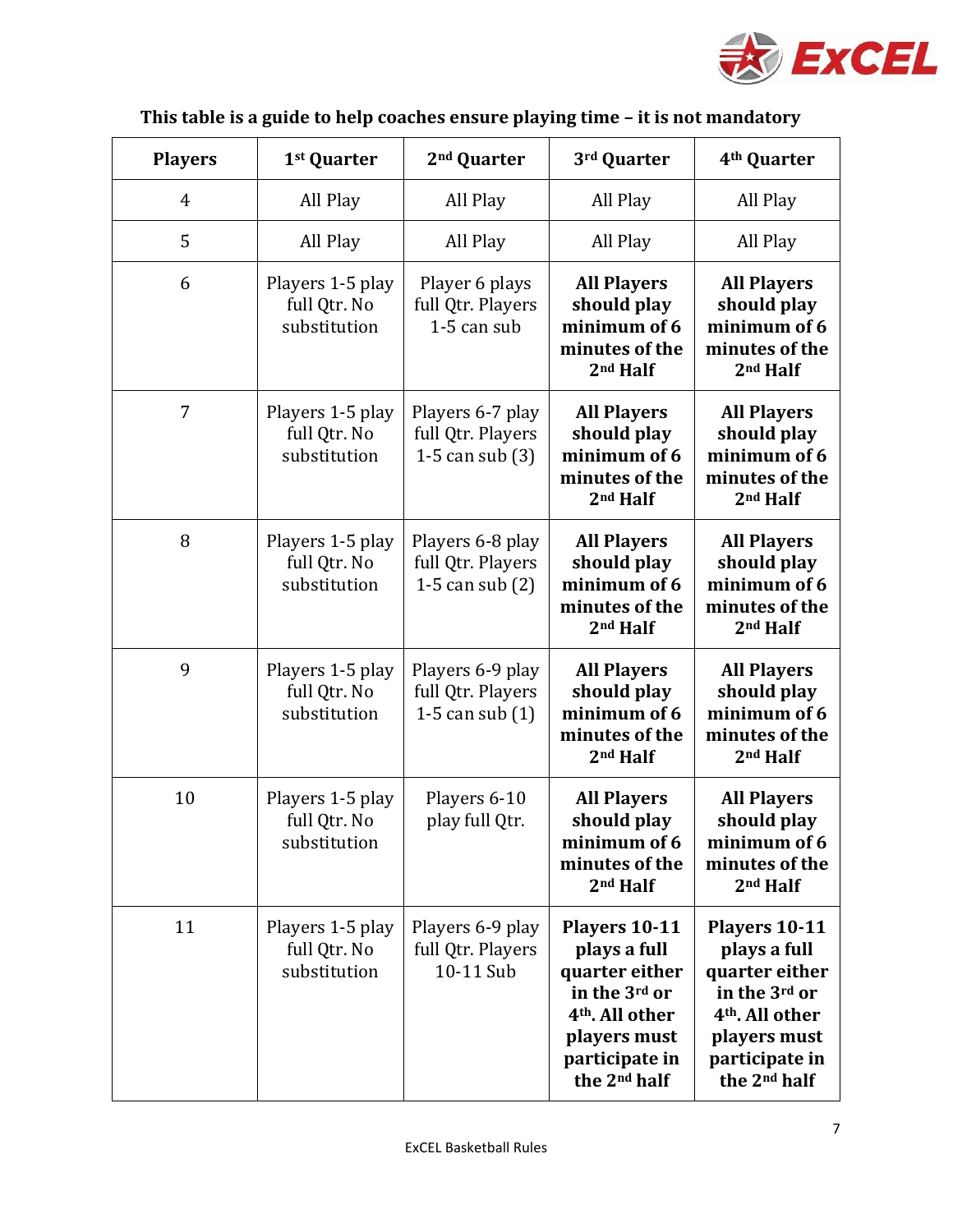

| <b>Players</b> | 1 <sup>st</sup> Quarter                          | 2 <sup>nd</sup> Quarter                                    | 3rd Quarter                                                                                                                                                   | 4 <sup>th</sup> Quarter                                                                                                                                       |
|----------------|--------------------------------------------------|------------------------------------------------------------|---------------------------------------------------------------------------------------------------------------------------------------------------------------|---------------------------------------------------------------------------------------------------------------------------------------------------------------|
| $\overline{4}$ | All Play                                         | All Play                                                   | All Play                                                                                                                                                      | All Play                                                                                                                                                      |
| 5              | All Play                                         | All Play                                                   | All Play                                                                                                                                                      | All Play                                                                                                                                                      |
| 6              | Players 1-5 play<br>full Qtr. No<br>substitution | Player 6 plays<br>full Qtr. Players<br>1-5 can sub         | <b>All Players</b><br>should play<br>minimum of 6<br>minutes of the<br>2 <sup>nd</sup> Half                                                                   | <b>All Players</b><br>should play<br>minimum of 6<br>minutes of the<br>2 <sup>nd</sup> Half                                                                   |
| 7              | Players 1-5 play<br>full Qtr. No<br>substitution | Players 6-7 play<br>full Qtr. Players<br>1-5 can sub $(3)$ | <b>All Players</b><br>should play<br>minimum of 6<br>minutes of the<br>2 <sup>nd</sup> Half                                                                   | <b>All Players</b><br>should play<br>minimum of 6<br>minutes of the<br>2 <sup>nd</sup> Half                                                                   |
| 8              | Players 1-5 play<br>full Qtr. No<br>substitution | Players 6-8 play<br>full Qtr. Players<br>1-5 can sub $(2)$ | <b>All Players</b><br>should play<br>minimum of 6<br>minutes of the<br>2 <sup>nd</sup> Half                                                                   | <b>All Players</b><br>should play<br>minimum of 6<br>minutes of the<br>2 <sup>nd</sup> Half                                                                   |
| 9              | Players 1-5 play<br>full Qtr. No<br>substitution | Players 6-9 play<br>full Qtr. Players<br>1-5 can sub $(1)$ | <b>All Players</b><br>should play<br>minimum of 6<br>minutes of the<br>2 <sup>nd</sup> Half                                                                   | <b>All Players</b><br>should play<br>minimum of 6<br>minutes of the<br>2 <sup>nd</sup> Half                                                                   |
| 10             | Players 1-5 play<br>full Qtr. No<br>substitution | Players 6-10<br>play full Qtr.                             | <b>All Players</b><br>should play<br>minimum of 6<br>minutes of the<br>2 <sup>nd</sup> Half                                                                   | <b>All Players</b><br>should play<br>minimum of 6<br>minutes of the<br>2 <sup>nd</sup> Half                                                                   |
| 11             | Players 1-5 play<br>full Qtr. No<br>substitution | Players 6-9 play<br>full Qtr. Players<br>10-11 Sub         | Players 10-11<br>plays a full<br>quarter either<br>in the 3rd or<br>4 <sup>th</sup> . All other<br>players must<br>participate in<br>the 2 <sup>nd</sup> half | Players 10-11<br>plays a full<br>quarter either<br>in the 3rd or<br>4 <sup>th</sup> . All other<br>players must<br>participate in<br>the 2 <sup>nd</sup> half |

# **This table is a guide to help coaches ensure playing time – it is not mandatory**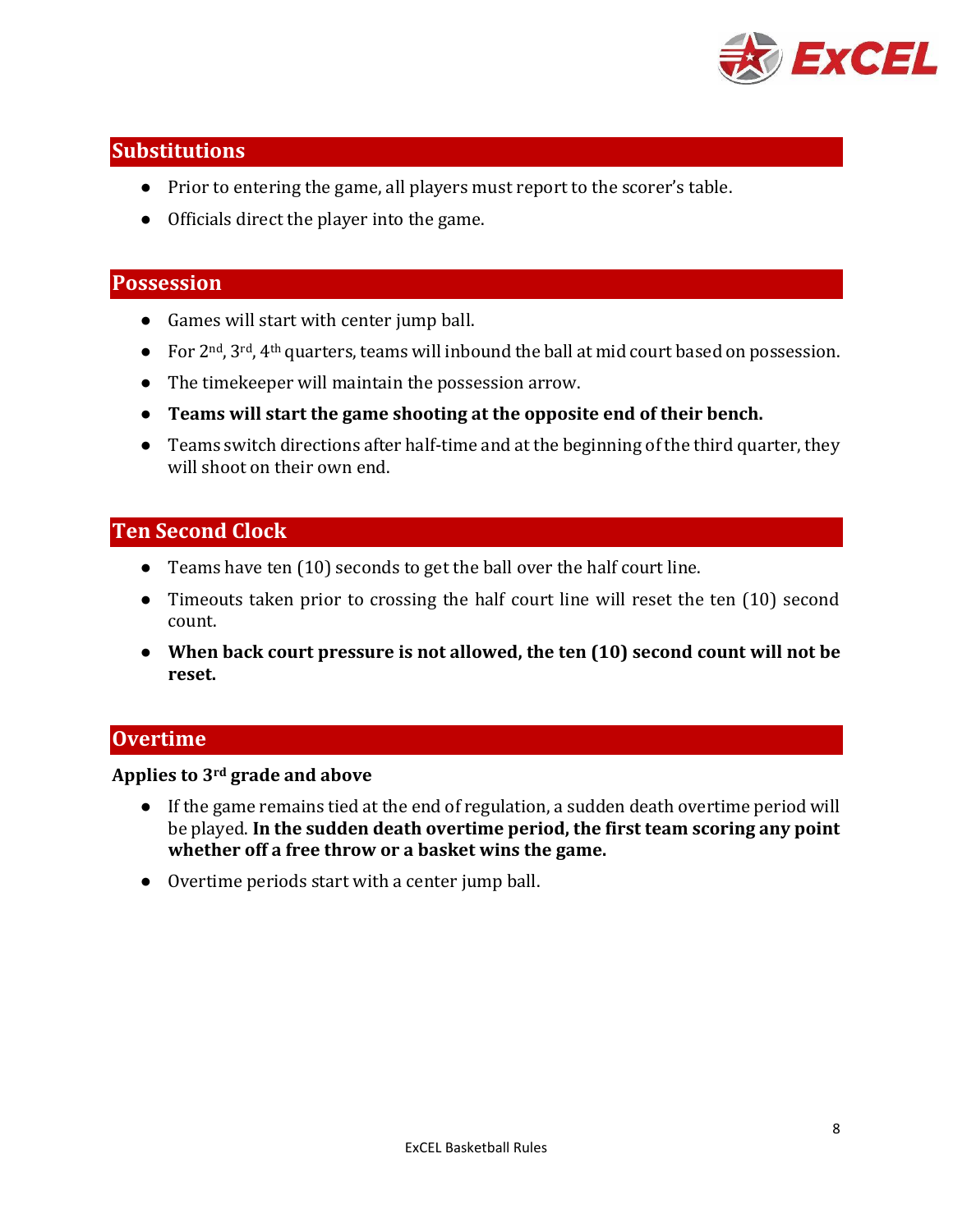

# **Substitutions**

- Prior to entering the game, all players must report to the scorer's table.
- Officials direct the player into the game.

#### **Possession**

- Games will start with center jump ball.
- For 2<sup>nd</sup>, 3<sup>rd</sup>, 4<sup>th</sup> quarters, teams will inbound the ball at mid court based on possession.
- The timekeeper will maintain the possession arrow.
- **Teams will start the game shooting at the opposite end of their bench.**
- Teams switch directions after half-time and at the beginning of the third quarter, they will shoot on their own end.

#### **Ten Second Clock**

- Teams have ten (10) seconds to get the ball over the half court line.
- Timeouts taken prior to crossing the half court line will reset the ten (10) second count.
- **When back court pressure is not allowed, the ten (10) second count will not be reset.**

#### **Overtime**

#### **Applies to 3rd grade and above**

- If the game remains tied at the end of regulation, a sudden death overtime period will be played. **In the sudden death overtime period, the first team scoring any point whether off a free throw or a basket wins the game.**
- Overtime periods start with a center jump ball.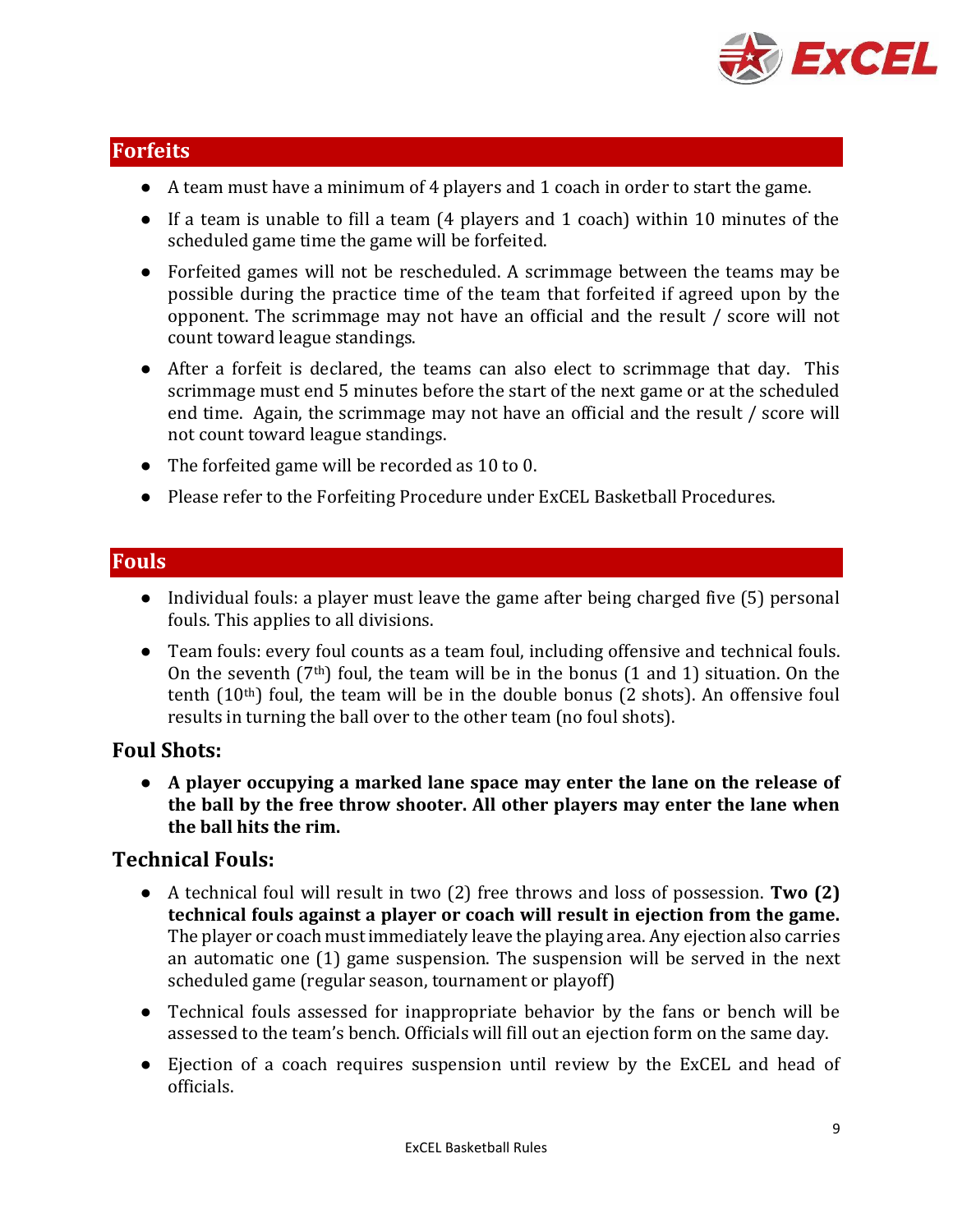

# **Forfeits**

- A team must have a minimum of 4 players and 1 coach in order to start the game.
- If a team is unable to fill a team (4 players and 1 coach) within 10 minutes of the scheduled game time the game will be forfeited.
- Forfeited games will not be rescheduled. A scrimmage between the teams may be possible during the practice time of the team that forfeited if agreed upon by the opponent. The scrimmage may not have an official and the result / score will not count toward league standings.
- After a forfeit is declared, the teams can also elect to scrimmage that day. This scrimmage must end 5 minutes before the start of the next game or at the scheduled end time. Again, the scrimmage may not have an official and the result / score will not count toward league standings.
- The forfeited game will be recorded as 10 to 0.
- Please refer to the Forfeiting Procedure under ExCEL Basketball Procedures.

# **Fouls**

- Individual fouls: a player must leave the game after being charged five (5) personal fouls. This applies to all divisions.
- Team fouls: every foul counts as a team foul, including offensive and technical fouls. On the seventh  $(7<sup>th</sup>)$  foul, the team will be in the bonus  $(1 \text{ and } 1)$  situation. On the tenth  $(10<sup>th</sup>)$  foul, the team will be in the double bonus (2 shots). An offensive foul results in turning the ball over to the other team (no foul shots).

# **Foul Shots:**

● **A player occupying a marked lane space may enter the lane on the release of the ball by the free throw shooter. All other players may enter the lane when the ball hits the rim.** 

# **Technical Fouls:**

- A technical foul will result in two (2) free throws and loss of possession. **Two (2) technical fouls against a player or coach will result in ejection from the game.**  The player or coach must immediately leave the playing area. Any ejection also carries an automatic one (1) game suspension. The suspension will be served in the next scheduled game (regular season, tournament or playoff)
- Technical fouls assessed for inappropriate behavior by the fans or bench will be assessed to the team's bench. Officials will fill out an ejection form on the same day.
- Ejection of a coach requires suspension until review by the ExCEL and head of officials.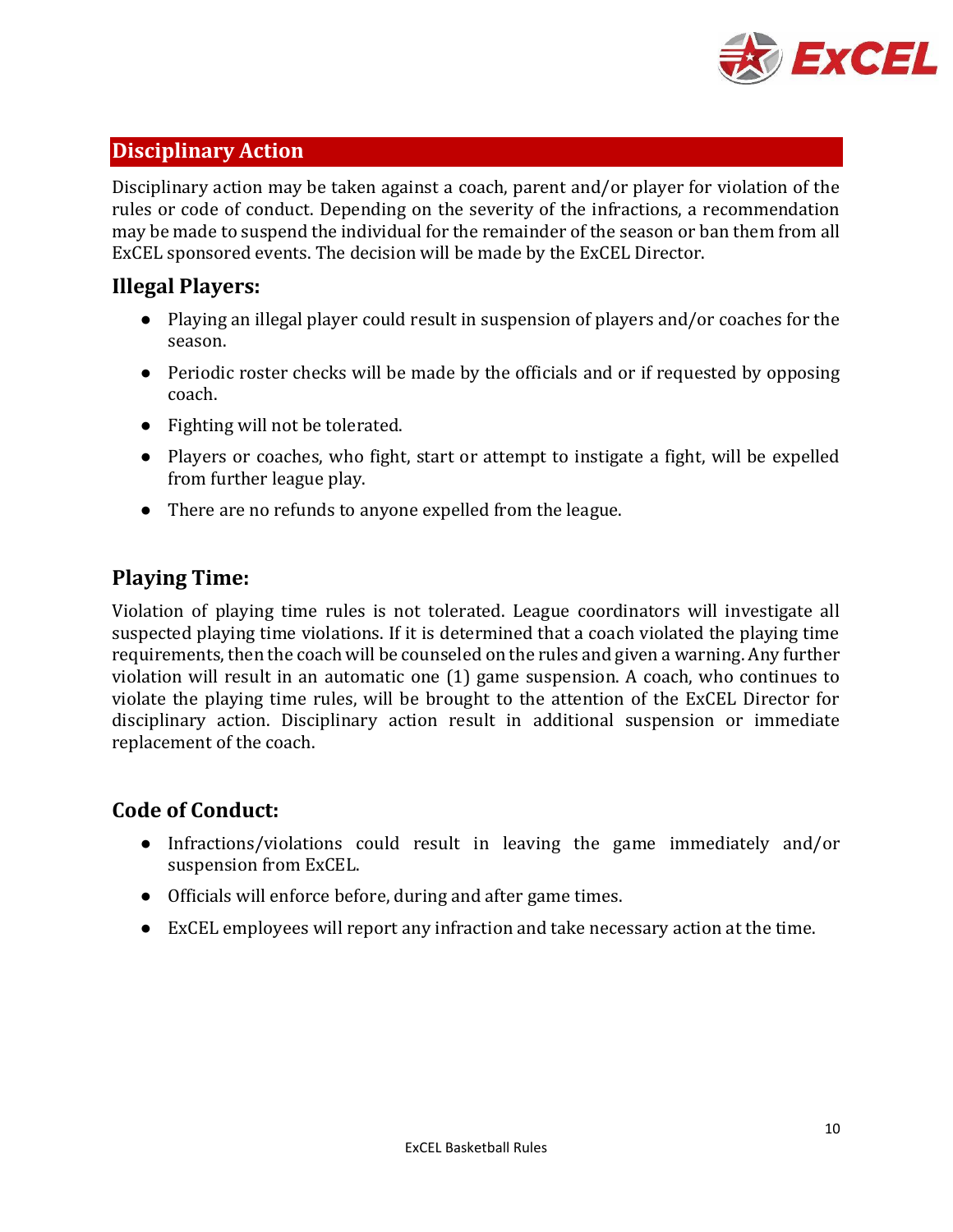

# **Disciplinary Action**

Disciplinary action may be taken against a coach, parent and/or player for violation of the rules or code of conduct. Depending on the severity of the infractions, a recommendation may be made to suspend the individual for the remainder of the season or ban them from all ExCEL sponsored events. The decision will be made by the ExCEL Director.

# **Illegal Players:**

- Playing an illegal player could result in suspension of players and/or coaches for the season.
- Periodic roster checks will be made by the officials and or if requested by opposing coach.
- Fighting will not be tolerated.
- Players or coaches, who fight, start or attempt to instigate a fight, will be expelled from further league play.
- There are no refunds to anyone expelled from the league.

# **Playing Time:**

Violation of playing time rules is not tolerated. League coordinators will investigate all suspected playing time violations. If it is determined that a coach violated the playing time requirements, then the coach will be counseled on the rules and given a warning. Any further violation will result in an automatic one (1) game suspension. A coach, who continues to violate the playing time rules, will be brought to the attention of the ExCEL Director for disciplinary action. Disciplinary action result in additional suspension or immediate replacement of the coach.

# **Code of Conduct:**

- Infractions/violations could result in leaving the game immediately and/or suspension from ExCEL.
- Officials will enforce before, during and after game times.
- ExCEL employees will report any infraction and take necessary action at the time.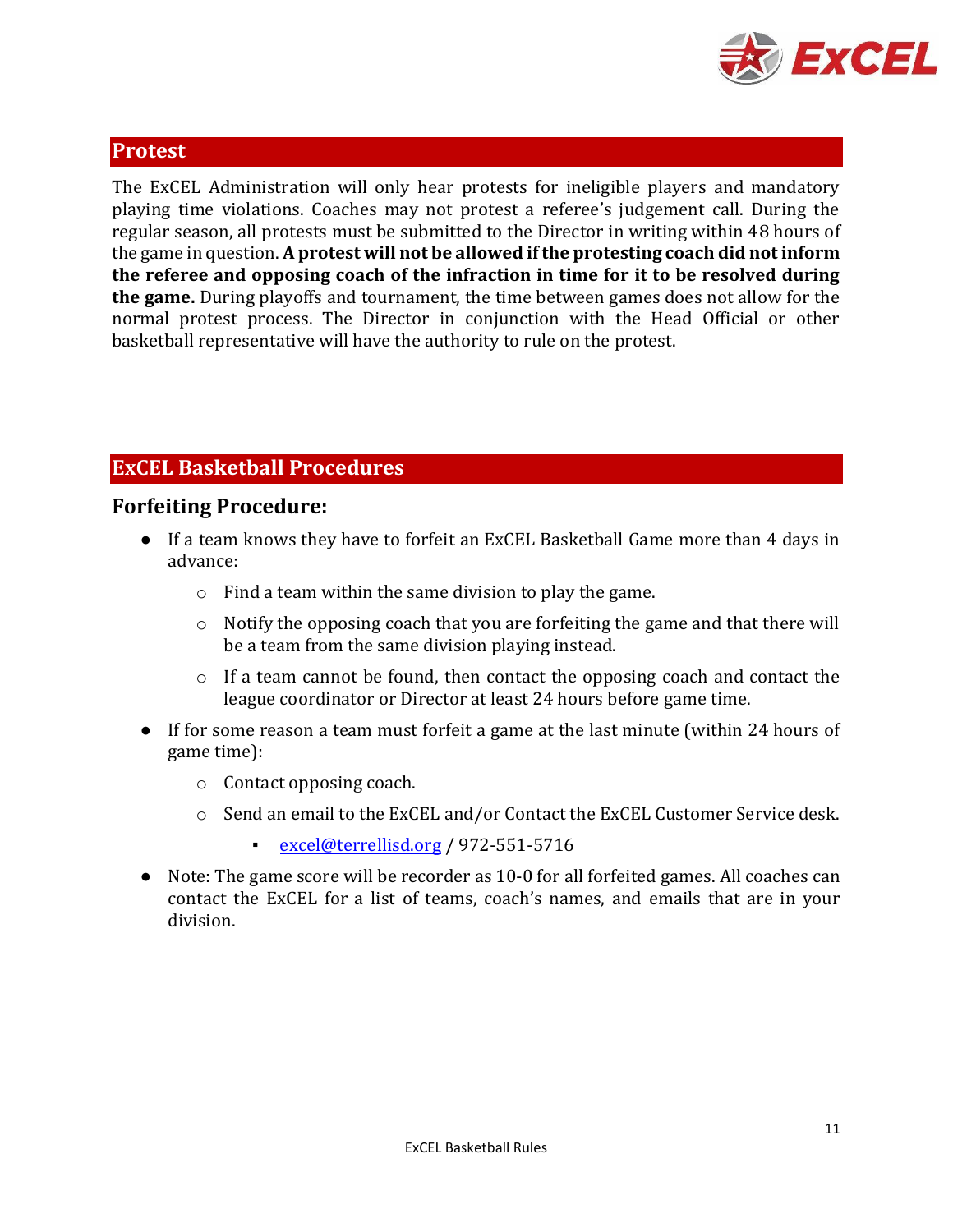

### **Protest**

The ExCEL Administration will only hear protests for ineligible players and mandatory playing time violations. Coaches may not protest a referee's judgement call. During the regular season, all protests must be submitted to the Director in writing within 48 hours of the game in question. **A protest will not be allowed if the protesting coach did not inform the referee and opposing coach of the infraction in time for it to be resolved during the game.** During playoffs and tournament, the time between games does not allow for the normal protest process. The Director in conjunction with the Head Official or other basketball representative will have the authority to rule on the protest.

# **ExCEL Basketball Procedures**

#### **Forfeiting Procedure:**

- If a team knows they have to forfeit an ExCEL Basketball Game more than 4 days in advance:
	- o Find a team within the same division to play the game.
	- o Notify the opposing coach that you are forfeiting the game and that there will be a team from the same division playing instead.
	- $\circ$  If a team cannot be found, then contact the opposing coach and contact the league coordinator or Director at least 24 hours before game time.
- If for some reason a team must forfeit a game at the last minute (within 24 hours of game time):
	- o Contact opposing coach.
	- $\circ$  Send an email to the ExCEL and/or Contact the ExCEL Customer Service desk.
		- [excel@terrellisd.org](mailto:excel@terrellisd.org) / 972-551-5716
- Note: The game score will be recorder as 10-0 for all forfeited games. All coaches can contact the ExCEL for a list of teams, coach's names, and emails that are in your division.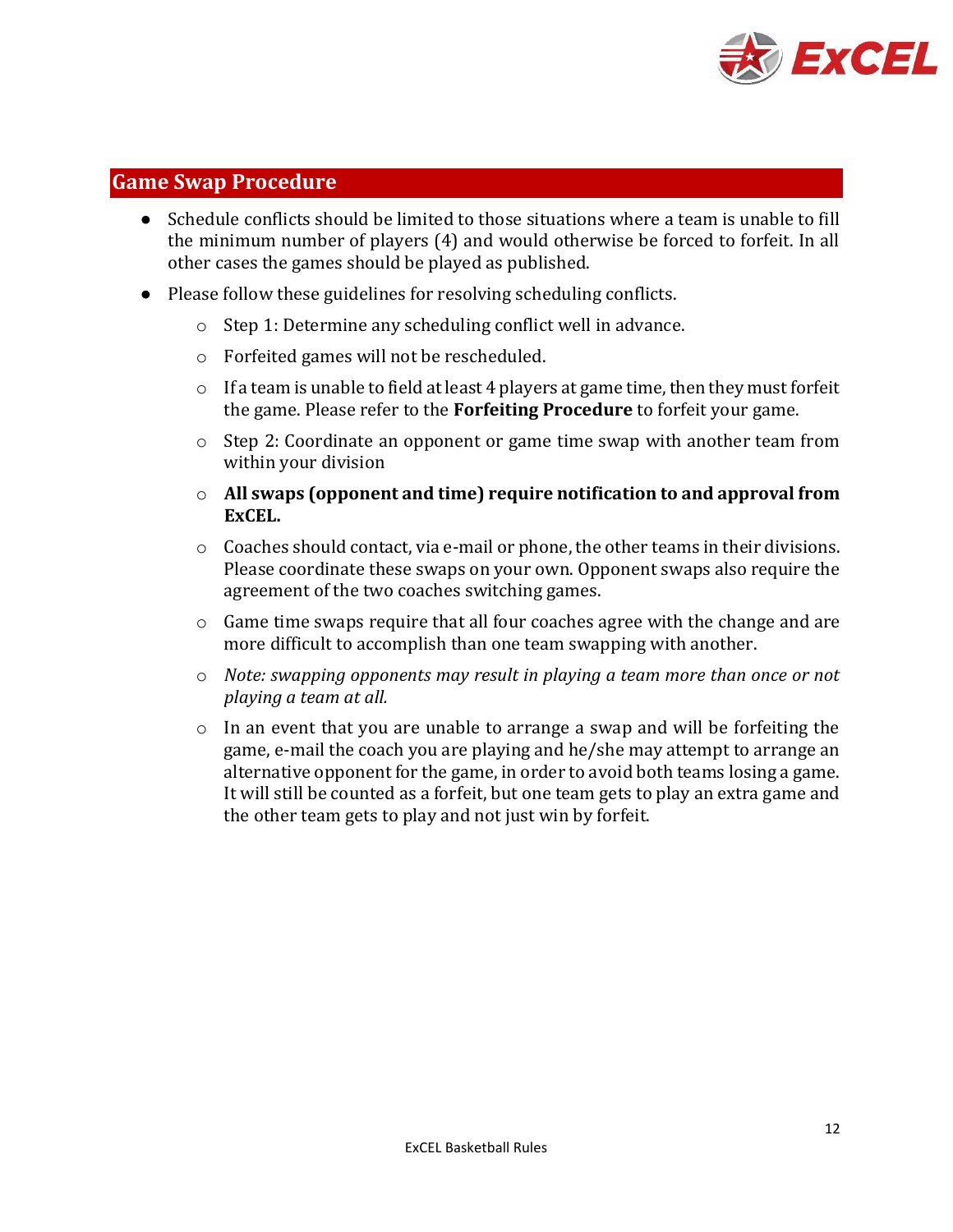

# **Game Swap Procedure**

- Schedule conflicts should be limited to those situations where a team is unable to fill the minimum number of players (4) and would otherwise be forced to forfeit. In all other cases the games should be played as published.
- Please follow these guidelines for resolving scheduling conflicts.
	- o Step 1: Determine any scheduling conflict well in advance.
	- o Forfeited games will not be rescheduled.
	- $\circ$  If a team is unable to field at least 4 players at game time, then they must forfeit the game. Please refer to the **Forfeiting Procedure** to forfeit your game.
	- o Step 2: Coordinate an opponent or game time swap with another team from within your division
	- o **All swaps (opponent and time) require notification to and approval from ExCEL.**
	- o Coaches should contact, via e-mail or phone, the other teams in their divisions. Please coordinate these swaps on your own. Opponent swaps also require the agreement of the two coaches switching games.
	- o Game time swaps require that all four coaches agree with the change and are more difficult to accomplish than one team swapping with another.
	- o *Note: swapping opponents may result in playing a team more than once or not playing a team at all.*
	- $\circ$  In an event that you are unable to arrange a swap and will be forfeiting the game, e-mail the coach you are playing and he/she may attempt to arrange an alternative opponent for the game, in order to avoid both teams losing a game. It will still be counted as a forfeit, but one team gets to play an extra game and the other team gets to play and not just win by forfeit.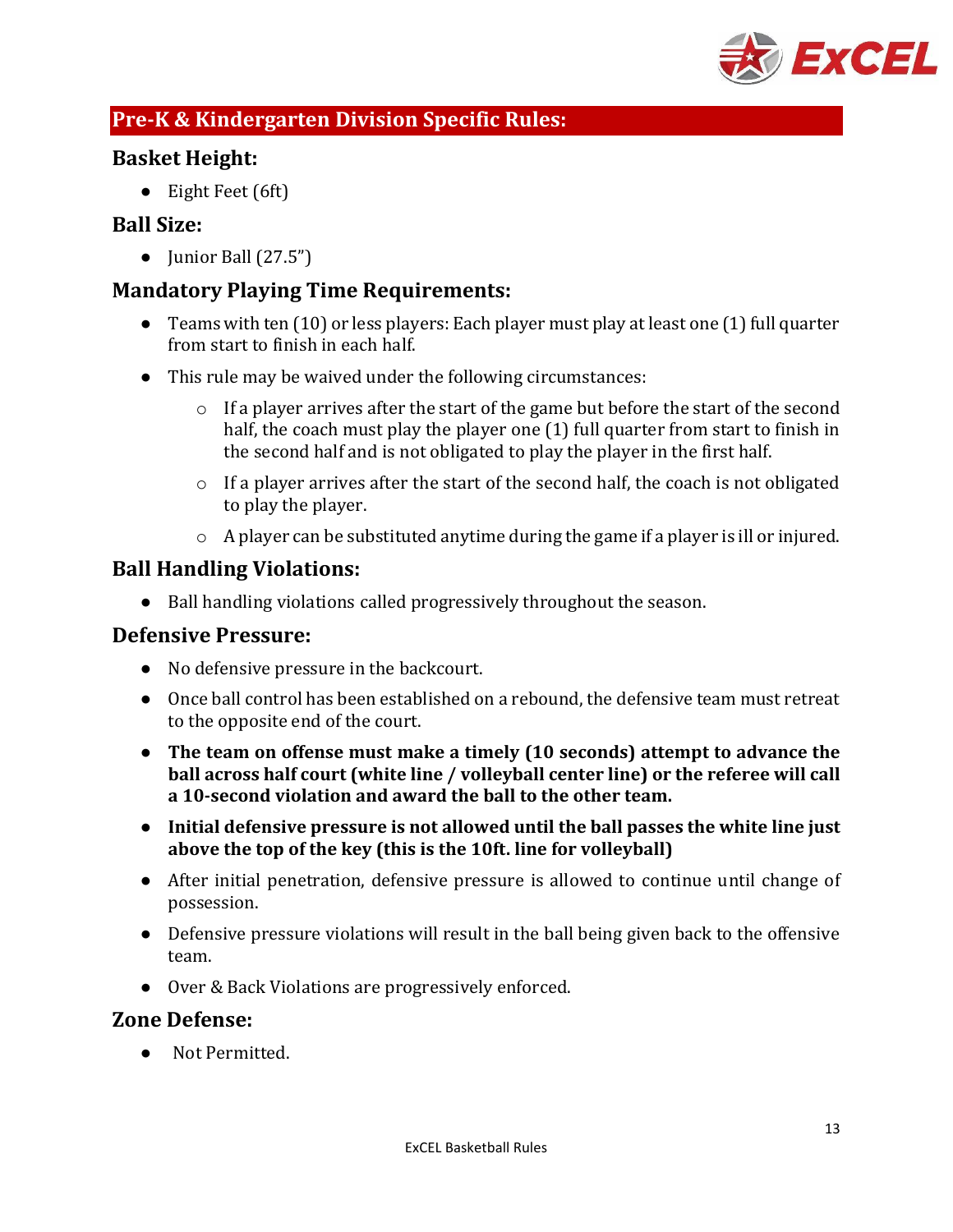

# **Pre-K & Kindergarten Division Specific Rules:**

#### **Basket Height:**

● Eight Feet (6ft)

# **Ball Size:**

 $\bullet$  Junior Ball  $(27.5'')$ 

# **Mandatory Playing Time Requirements:**

- Teams with ten (10) or less players: Each player must play at least one (1) full quarter from start to finish in each half.
- This rule may be waived under the following circumstances:
	- o If a player arrives after the start of the game but before the start of the second half, the coach must play the player one (1) full quarter from start to finish in the second half and is not obligated to play the player in the first half.
	- o If a player arrives after the start of the second half, the coach is not obligated to play the player.
	- $\circ$  A player can be substituted anytime during the game if a player is ill or injured.

#### **Ball Handling Violations:**

● Ball handling violations called progressively throughout the season.

#### **Defensive Pressure:**

- No defensive pressure in the backcourt.
- Once ball control has been established on a rebound, the defensive team must retreat to the opposite end of the court.
- **The team on offense must make a timely (10 seconds) attempt to advance the ball across half court (white line / volleyball center line) or the referee will call a 10-second violation and award the ball to the other team.**
- **Initial defensive pressure is not allowed until the ball passes the white line just above the top of the key (this is the 10ft. line for volleyball)**
- After initial penetration, defensive pressure is allowed to continue until change of possession.
- Defensive pressure violations will result in the ball being given back to the offensive team.
- Over & Back Violations are progressively enforced.

#### **Zone Defense:**

● Not Permitted.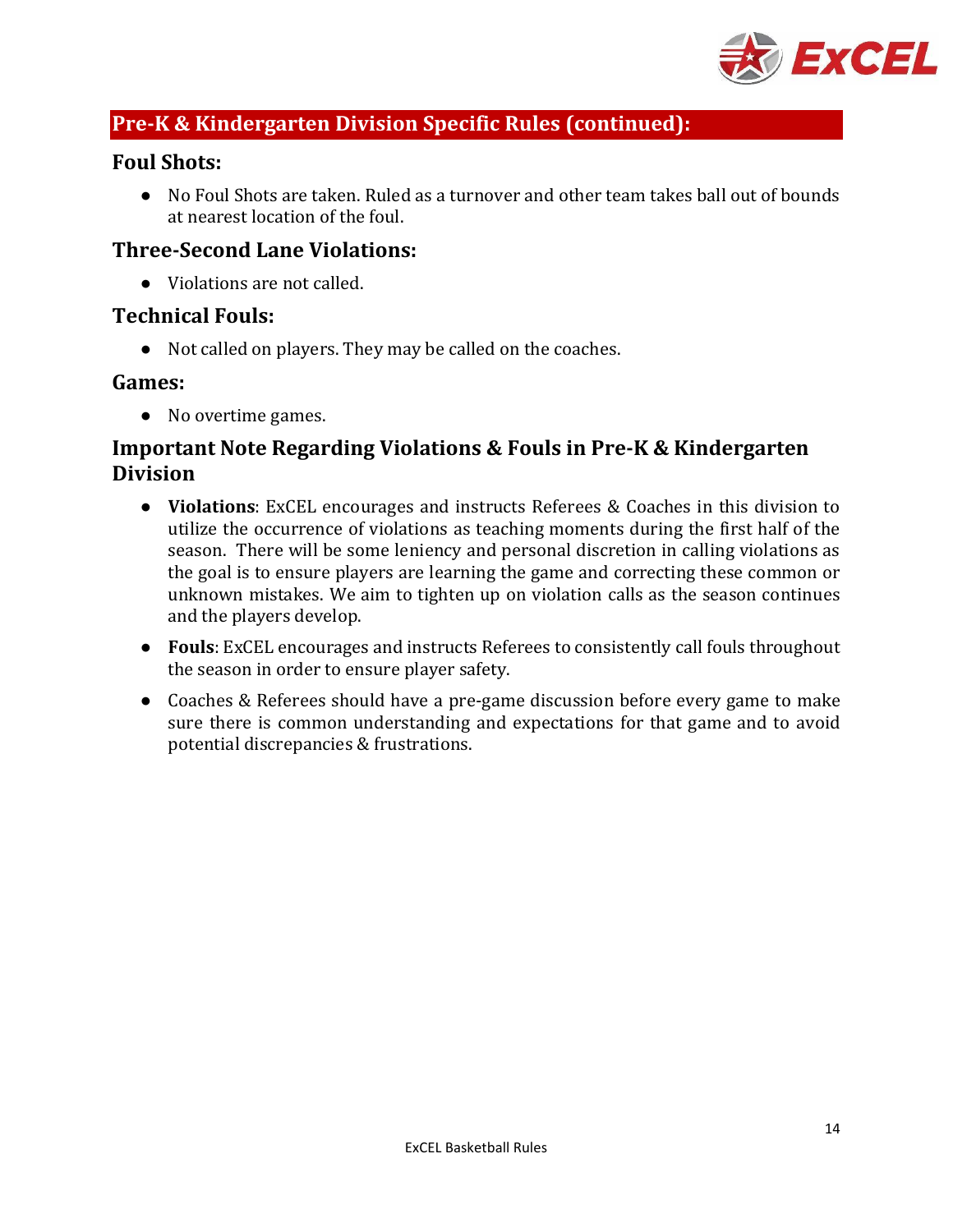

# **Pre-K & Kindergarten Division Specific Rules (continued):**

#### **Foul Shots:**

● No Foul Shots are taken. Ruled as a turnover and other team takes ball out of bounds at nearest location of the foul.

#### **Three-Second Lane Violations:**

● Violations are not called.

# **Technical Fouls:**

● Not called on players. They may be called on the coaches.

#### **Games:**

• No overtime games.

# **Important Note Regarding Violations & Fouls in Pre-K & Kindergarten Division**

- **Violations**: ExCEL encourages and instructs Referees & Coaches in this division to utilize the occurrence of violations as teaching moments during the first half of the season. There will be some leniency and personal discretion in calling violations as the goal is to ensure players are learning the game and correcting these common or unknown mistakes. We aim to tighten up on violation calls as the season continues and the players develop.
- **Fouls**: ExCEL encourages and instructs Referees to consistently call fouls throughout the season in order to ensure player safety.
- Coaches & Referees should have a pre-game discussion before every game to make sure there is common understanding and expectations for that game and to avoid potential discrepancies & frustrations.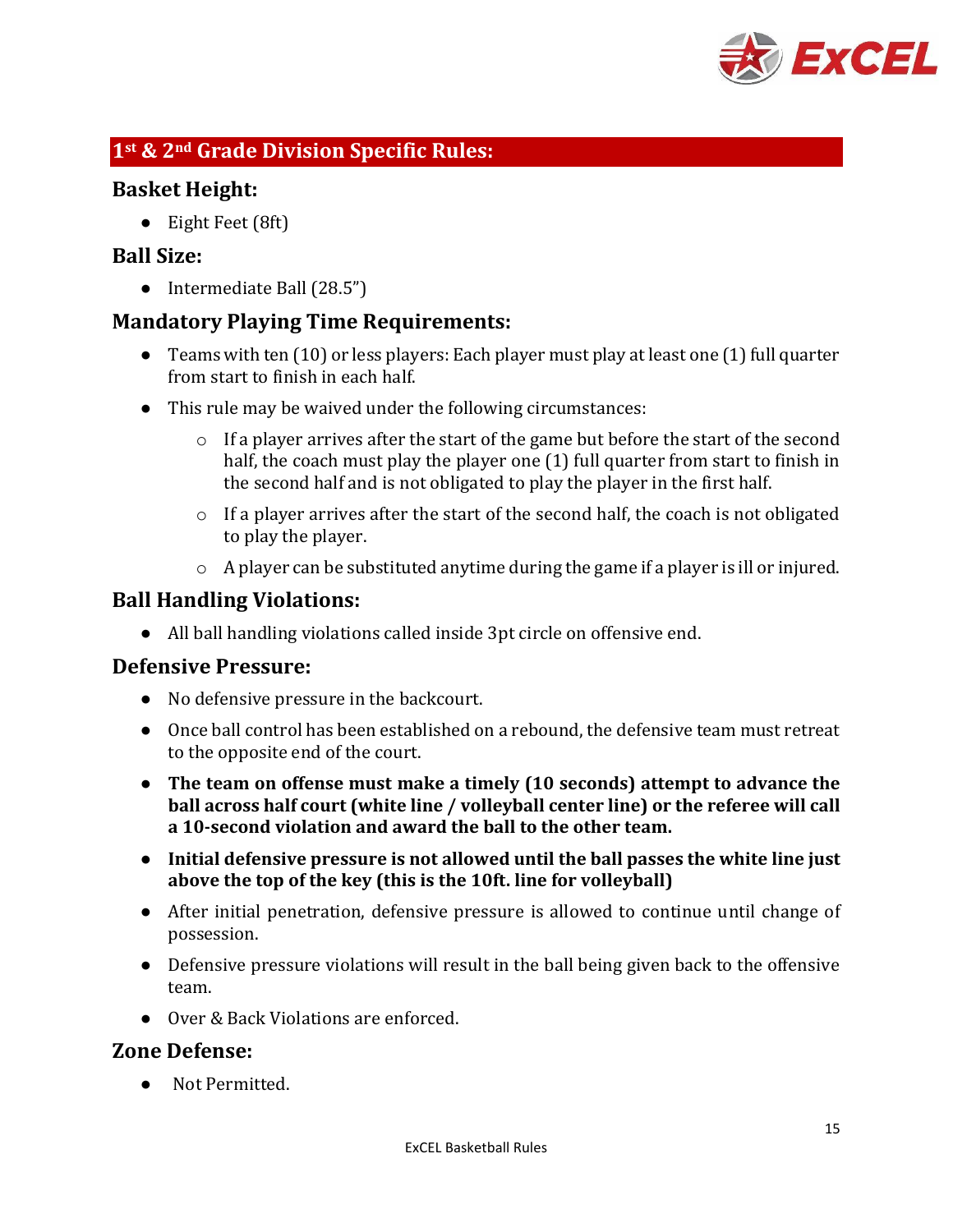

# **1st & 2nd Grade Division Specific Rules:**

# **Basket Height:**

● Eight Feet (8ft)

#### **Ball Size:**

• Intermediate Ball (28.5")

# **Mandatory Playing Time Requirements:**

- Teams with ten (10) or less players: Each player must play at least one (1) full quarter from start to finish in each half.
- This rule may be waived under the following circumstances:
	- $\circ$  If a player arrives after the start of the game but before the start of the second half, the coach must play the player one (1) full quarter from start to finish in the second half and is not obligated to play the player in the first half.
	- $\circ$  If a player arrives after the start of the second half, the coach is not obligated to play the player.
	- o A player can be substituted anytime during the game if a player is ill or injured.

# **Ball Handling Violations:**

● All ball handling violations called inside 3pt circle on offensive end.

#### **Defensive Pressure:**

- No defensive pressure in the backcourt.
- Once ball control has been established on a rebound, the defensive team must retreat to the opposite end of the court.
- **The team on offense must make a timely (10 seconds) attempt to advance the ball across half court (white line / volleyball center line) or the referee will call a 10-second violation and award the ball to the other team.**
- **Initial defensive pressure is not allowed until the ball passes the white line just above the top of the key (this is the 10ft. line for volleyball)**
- After initial penetration, defensive pressure is allowed to continue until change of possession.
- Defensive pressure violations will result in the ball being given back to the offensive team.
- Over & Back Violations are enforced.

#### **Zone Defense:**

● Not Permitted.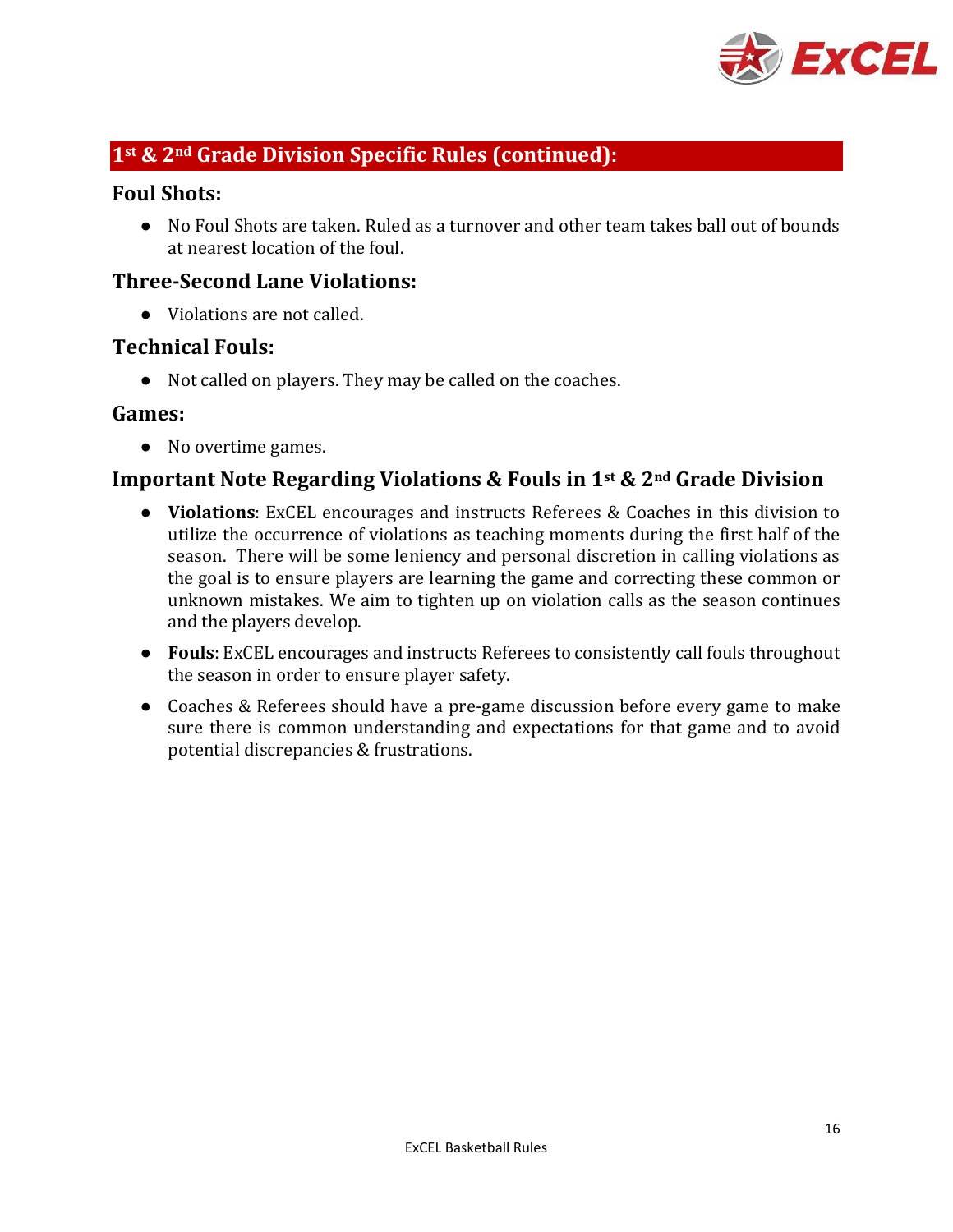

# **1st & 2nd Grade Division Specific Rules (continued):**

#### **Foul Shots:**

● No Foul Shots are taken. Ruled as a turnover and other team takes ball out of bounds at nearest location of the foul.

#### **Three-Second Lane Violations:**

● Violations are not called.

#### **Technical Fouls:**

● Not called on players. They may be called on the coaches.

#### **Games:**

• No overtime games.

#### **Important Note Regarding Violations & Fouls in 1st & 2nd Grade Division**

- **Violations**: ExCEL encourages and instructs Referees & Coaches in this division to utilize the occurrence of violations as teaching moments during the first half of the season. There will be some leniency and personal discretion in calling violations as the goal is to ensure players are learning the game and correcting these common or unknown mistakes. We aim to tighten up on violation calls as the season continues and the players develop.
- **Fouls**: ExCEL encourages and instructs Referees to consistently call fouls throughout the season in order to ensure player safety.
- Coaches & Referees should have a pre-game discussion before every game to make sure there is common understanding and expectations for that game and to avoid potential discrepancies & frustrations.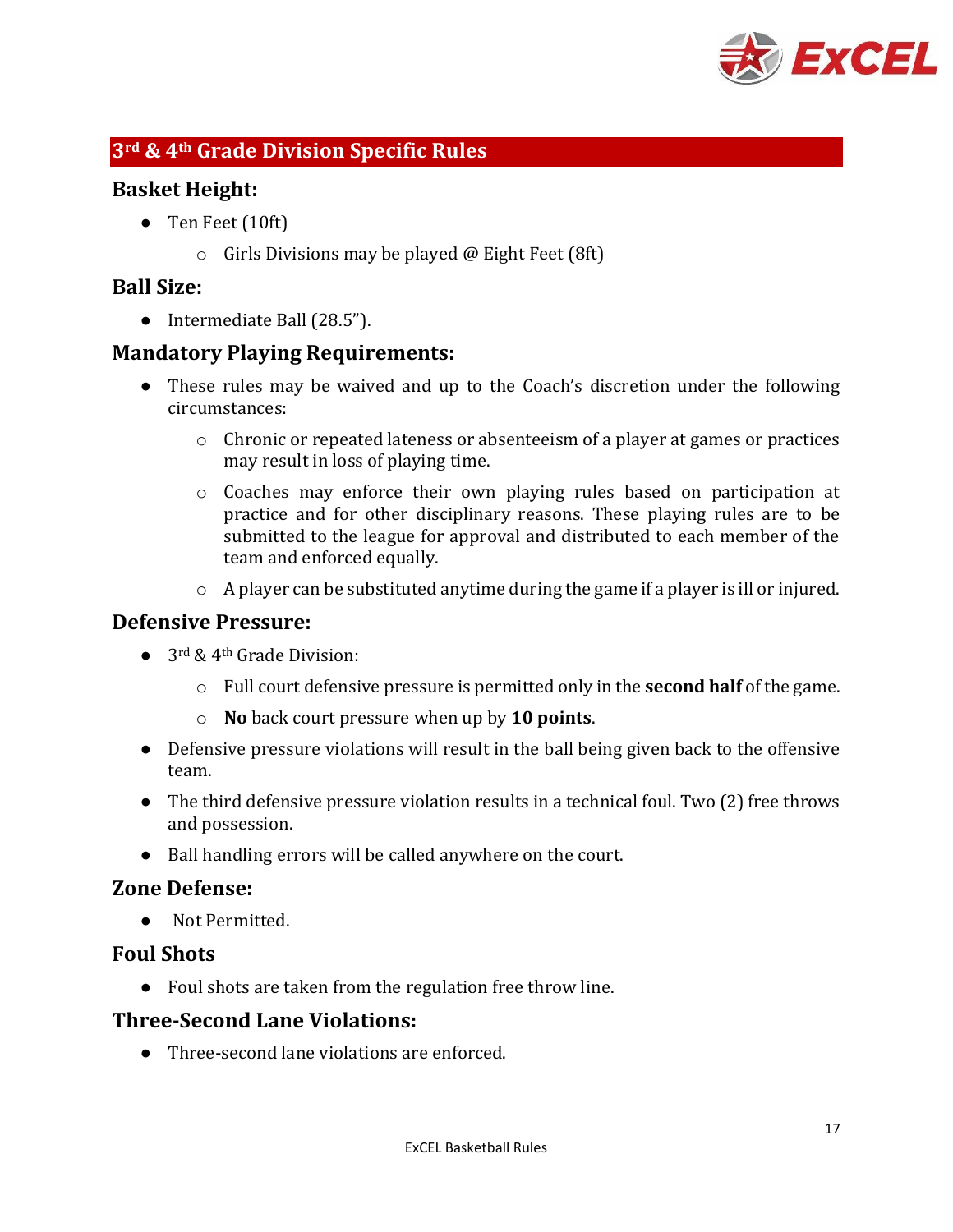

# **3rd & 4th Grade Division Specific Rules**

### **Basket Height:**

- Ten Feet (10ft)
	- $\circ$  Girls Divisions may be played @ Eight Feet (8ft)

#### **Ball Size:**

● Intermediate Ball (28.5").

#### **Mandatory Playing Requirements:**

- These rules may be waived and up to the Coach's discretion under the following circumstances:
	- $\circ$  Chronic or repeated lateness or absenteeism of a player at games or practices may result in loss of playing time.
	- $\circ$  Coaches may enforce their own playing rules based on participation at practice and for other disciplinary reasons. These playing rules are to be submitted to the league for approval and distributed to each member of the team and enforced equally.
	- o A player can be substituted anytime during the game if a player is ill or injured.

#### **Defensive Pressure:**

- 3<sup>rd</sup> & 4<sup>th</sup> Grade Division:
	- o Full court defensive pressure is permitted only in the **second half** of the game.
	- o **No** back court pressure when up by **10 points**.
- Defensive pressure violations will result in the ball being given back to the offensive team.
- The third defensive pressure violation results in a technical foul. Two (2) free throws and possession.
- Ball handling errors will be called anywhere on the court.

#### **Zone Defense:**

● Not Permitted.

#### **Foul Shots**

● Foul shots are taken from the regulation free throw line.

#### **Three-Second Lane Violations:**

● Three-second lane violations are enforced.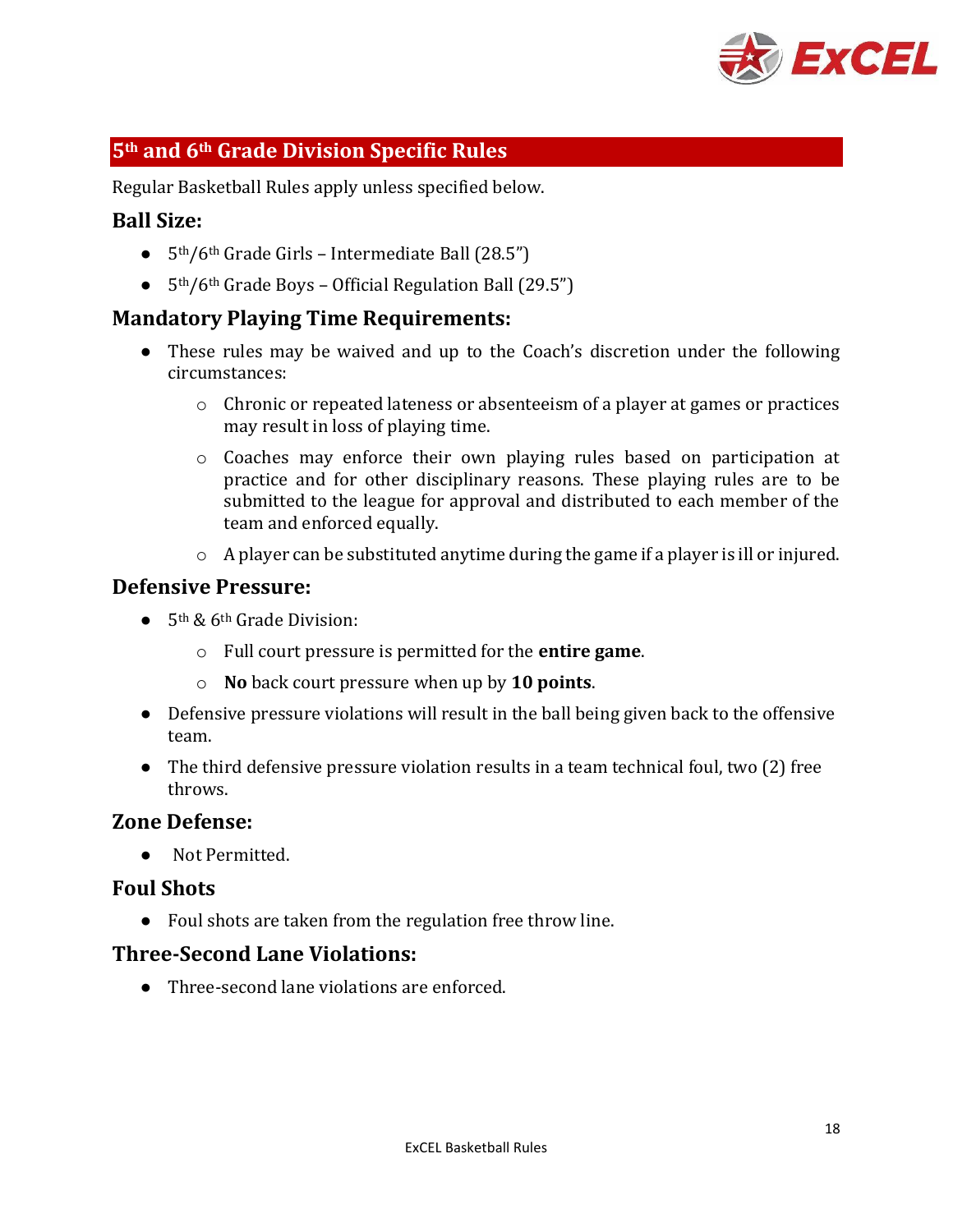

# **5th and 6th Grade Division Specific Rules**

Regular Basketball Rules apply unless specified below.

#### **Ball Size:**

- $\bullet$  5<sup>th</sup>/6<sup>th</sup> Grade Girls Intermediate Ball (28.5")
- $\bullet$  5<sup>th</sup>/6<sup>th</sup> Grade Boys Official Regulation Ball (29.5")

# **Mandatory Playing Time Requirements:**

- These rules may be waived and up to the Coach's discretion under the following circumstances:
	- o Chronic or repeated lateness or absenteeism of a player at games or practices may result in loss of playing time.
	- o Coaches may enforce their own playing rules based on participation at practice and for other disciplinary reasons. These playing rules are to be submitted to the league for approval and distributed to each member of the team and enforced equally.
	- $\circ$  A player can be substituted anytime during the game if a player is ill or injured.

#### **Defensive Pressure:**

- $\bullet$  5<sup>th</sup> & 6<sup>th</sup> Grade Division:
	- o Full court pressure is permitted for the **entire game**.
	- o **No** back court pressure when up by **10 points**.
- Defensive pressure violations will result in the ball being given back to the offensive team.
- The third defensive pressure violation results in a team technical foul, two (2) free throws.

#### **Zone Defense:**

● Not Permitted.

#### **Foul Shots**

● Foul shots are taken from the regulation free throw line.

#### **Three-Second Lane Violations:**

● Three-second lane violations are enforced.